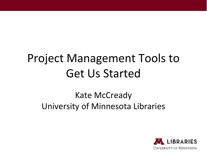## Project Management Tools to Get Us Started

### Kate McCready University of Minnesota Libraries

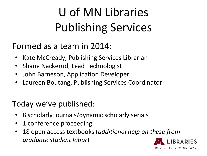# U of MN Libraries Publishing Services

#### Formed as a team in 2014:

- Kate McCready, Publishing Services Librarian
- Shane Nackerud, Lead Technologist
- John Barneson, Application Developer
- Laureen Boutang, Publishing Services Coordinator

#### Today we've published:

- 8 scholarly journals/dynamic scholarly serials
- 1 conference proceeding
- 18 open access textbooks (*additional help on these from graduate student labor*)

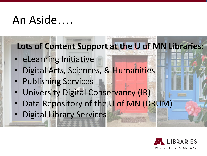## An Aside….

### **Lots of Content Support at the U of MN Libraries:**

- eLearning Initiative
- Digital Arts, Sciences, & Humanities
- Publishing Services
- University Digital Conservancy (IR)
- Data Repository of the U of MN (DRUM)
- Digital Library Services

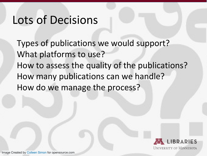## Lots of Decisions

Types of publications we would support? What platforms to use? How to assess the quality of the publications? How many publications can we handle? How do we manage the process?

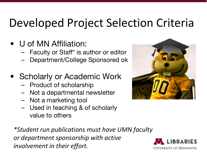## Developed Project Selection Criteria

### • U of MN Affiliation:

- Faculty or Staff\* is author or editor
- Department/College Sponsored ok

### • Scholarly or Academic Work

- Product of scholarship
- Not a departmental newsletter
- Not a marketing tool
- Used in teaching & of scholarly value to others

*\*Student run publications must have UMN faculty or department sponsorship with active involvement in their effort.*



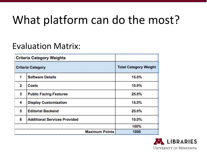# What platform can do the most?

#### Evaluation Matrix:

|                          | <b>Criteria Category Weights</b>    |                              |
|--------------------------|-------------------------------------|------------------------------|
| <b>Criteria Category</b> |                                     | <b>Total Category Weight</b> |
| 1                        | <b>Software Details</b>             | 15.0%                        |
| $\overline{2}$           | <b>Costs</b>                        | 10.0%                        |
| 3 <sup>2</sup>           | <b>Public Facing Features</b>       | 25.0%                        |
| $\blacktriangle$         | <b>Display Customization</b>        | 15.0%                        |
| 5                        | <b>Editorial Backend</b>            | 25.0%                        |
| 6                        | <b>Additional Services Provided</b> | 10.0%                        |
|                          |                                     | 100%                         |
| <b>Maximum Points</b>    |                                     | 1000                         |

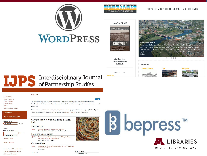



**Issue One : Fall 2015** 



**Introduction to Issue One** Welcome to the Inaugural issue of Open Rivers: Rethinking the Mississippi! What is there

to say about the Mississippi River that has not been said already? Google Scholar shows "about 922,000" hits for the query "Mississippi River" and the Library of Congress shows 9,537 items for the same query. Do we really have anything to add? By Patrick Nunnally, Editor

 $0.0.0.0.0$ 

**About Open Rivers Submission Guidelines Who We Are** 

#### **River Pulse Biological Sciences**







**TJPS** Interdisciplinary Journal

#### Home > UPS

**Journal Home** About This Journa Vision & Mission **Editorial Board** Policies

**Submit Article** 

Select an issue

All Issues

Enter search terms

in this journal

**Advanced Search** 

ISSN: 2380-8969

A Partnership Between:

Center for Partnership Studies

**UMN School of Nursing** 

Search

Author/Reviewer Account

**Receive Email Notices or RSS** 

 $\left\vert \bullet\right\vert$  Browse

Search

 $\bullet$ 

The Interdisciplinary Journal of Partnership Studies (IJPS) shares scholarship and creates connections for cultural transformation to build a world in which all relationships, institutions, policies and organizations are based on principles of partnership.

We welcome your participation in an ongoing dialog between knowledge generation and knowledge application. Together we can move our diverse cultures toward partnership. See "About This Journal" for more information.

Current Issue: Volume 2, Issue 2 (2015) Fall

#### Introduction

 $A$  PDF Quarterly Publication, and Invitation to Artists Teddie M. Potter, Riane Eisler, and Marty Lewis-Hunstiger

#### From the Guest Editor

The Inner Work of Partnership: Tools for Making the Personal A PDF Shift from Domination to Partnership Susan Carter and Sara Saltee

#### Conversations

**Articles** 

A Conversation with Jennifer Buffett: The Power of Philanthropy A PDF to Transform Cultures Riane Eisler



Cover art

Autumn Nest, 2015



**UNIVERSITY OF MINNESOTA** 



#### **ISSUE CONTENTS**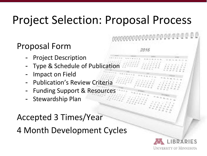## Project Selection: Proposal Process

### Proposal Form

- Project Description
- Type & Schedule of Publication
- Impact on Field
- Publication's Review Criteria
- Funding Support & Resources
- Stewardship Plan

Accepted 3 Times/Year

4 Month Development Cycles

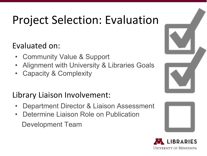# Project Selection: Evaluation

#### Evaluated on:

- **Community Value & Support**
- Alignment with University & Libraries Goals
- Capacity & Complexity

### Library Liaison Involvement:

- Department Director & Liaison Assessment
- Determine Liaison Role on Publication Development Team





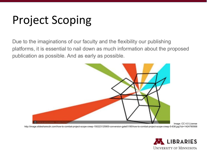## Project Scoping

Due to the imaginations of our faculty and the flexibility our publishing platforms, it is essential to nail down as much information about the proposed publication as possible. And as early as possible.



Image: CC 4.0 License

http://image.slidesharecdn.com/how-to-combat-project-scope-creep-150223125900-conversion-gate01/95/how-to-combat-project-scope-creep-5-638.jpg?cb=1424780568

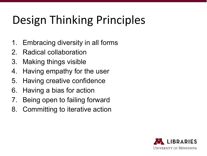# Design Thinking Principles

- 1. Embracing diversity in all forms
- 2. Radical collaboration
- 3. Making things visible
- 4. Having empathy for the user
- 5. Having creative confidence
- 6. Having a bias for action
- 7. Being open to failing forward
- 8. Committing to iterative action

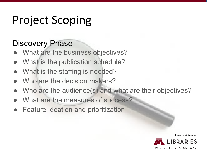## Project Scoping

#### Discovery Phase

- What are the business objectives?
- What is the publication schedule?
- What is the staffing is needed?
- Who are the decision makers?
- Who are the audience(s) and what are their objectives?
- What are the measures of success?
- **Feature ideation and prioritization**

Image: CC0 License

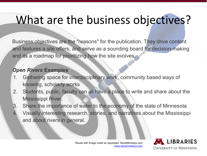## What are the business objectives?

Business objectives are the "reasons" for the publication. They drive content and features a site offers, and serve as a sounding board for decision-making and as a roadmap for prioritizing how the site evolves.

#### *Open Rivers* **Examples**

- 1. Gathering space for interdisciplinary work, community based ways of knowing, scholarly works
- 2. Students, public, faculty can all have a place to write and share about the Mississippi River.
- 3. Share the importance of water to the economy of the state of Minnesota Visually interesting research, stories, and narratives about the Mississippi and about rivers in general.

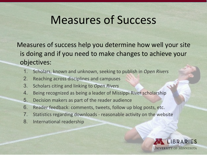## Measures of Success

Measures of success help you determine how well your site is doing and if you need to make changes to achieve your objectives:

- 1. Scholars, known and unknown, seeking to publish in *Open Rivers*
- 2. Reaching across disciplines and campuses
- 3. Scholars citing and linking to *Open Rivers*
- 4. Being recognized as being a leader of Missippi River scholarship
- 5. Decision makers as part of the reader audience
- 6. Reader feedback: comments, tweets, follow up blog posts, etc.
- 7. Statistics regarding downloads reasonable activity on the website
- 8. International readership

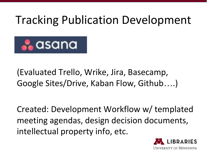## Tracking Publication Development



(Evaluated Trello, Wrike, Jira, Basecamp, Google Sites/Drive, Kaban Flow, Github….)

Created: Development Workflow w/ templated meeting agendas, design decision documents, intellectual property info, etc.